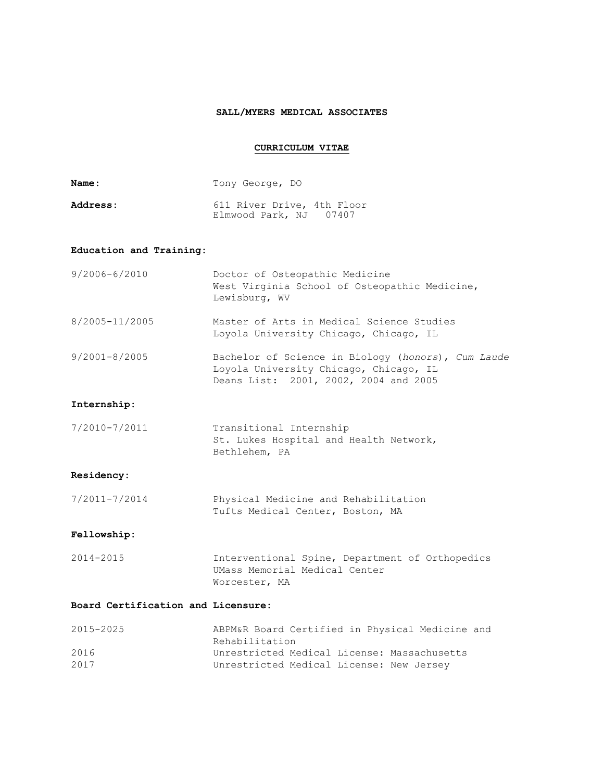## **SALL/MYERS MEDICAL ASSOCIATES**

## **CURRICULUM VITAE**

| Name:                              | Tony George, DO                                                                                                                       |  |  |  |  |  |
|------------------------------------|---------------------------------------------------------------------------------------------------------------------------------------|--|--|--|--|--|
| Address:                           | 611 River Drive, 4th Floor<br>Elmwood Park, NJ 07407                                                                                  |  |  |  |  |  |
| Education and Training:            |                                                                                                                                       |  |  |  |  |  |
| $9/2006 - 6/2010$                  | Doctor of Osteopathic Medicine<br>West Virginia School of Osteopathic Medicine,<br>Lewisburg, WV                                      |  |  |  |  |  |
| 8/2005-11/2005                     | Master of Arts in Medical Science Studies<br>Loyola University Chicago, Chicago, IL                                                   |  |  |  |  |  |
| $9/2001 - 8/2005$                  | Bachelor of Science in Biology (honors), Cum Laude<br>Loyola University Chicago, Chicago, IL<br>Deans List: 2001, 2002, 2004 and 2005 |  |  |  |  |  |
| Internship:                        |                                                                                                                                       |  |  |  |  |  |
| 7/2010-7/2011                      | Transitional Internship<br>St. Lukes Hospital and Health Network,<br>Bethlehem, PA                                                    |  |  |  |  |  |
| Residency:                         |                                                                                                                                       |  |  |  |  |  |
| 7/2011-7/2014                      | Physical Medicine and Rehabilitation<br>Tufts Medical Center, Boston, MA                                                              |  |  |  |  |  |
| Fellowship:                        |                                                                                                                                       |  |  |  |  |  |
| 2014-2015                          | Interventional Spine, Department of Orthopedics<br>UMass Memorial Medical Center<br>Worcester, MA                                     |  |  |  |  |  |
| Board Certification and Licensure: |                                                                                                                                       |  |  |  |  |  |
| 2015-2025                          | ABPM&R Board Certified in Physical Medicine and<br>Rehabilitation                                                                     |  |  |  |  |  |
| 2016<br>2017                       | Unrestricted Medical License: Massachusetts<br>Unrestricted Medical License: New Jersey                                               |  |  |  |  |  |